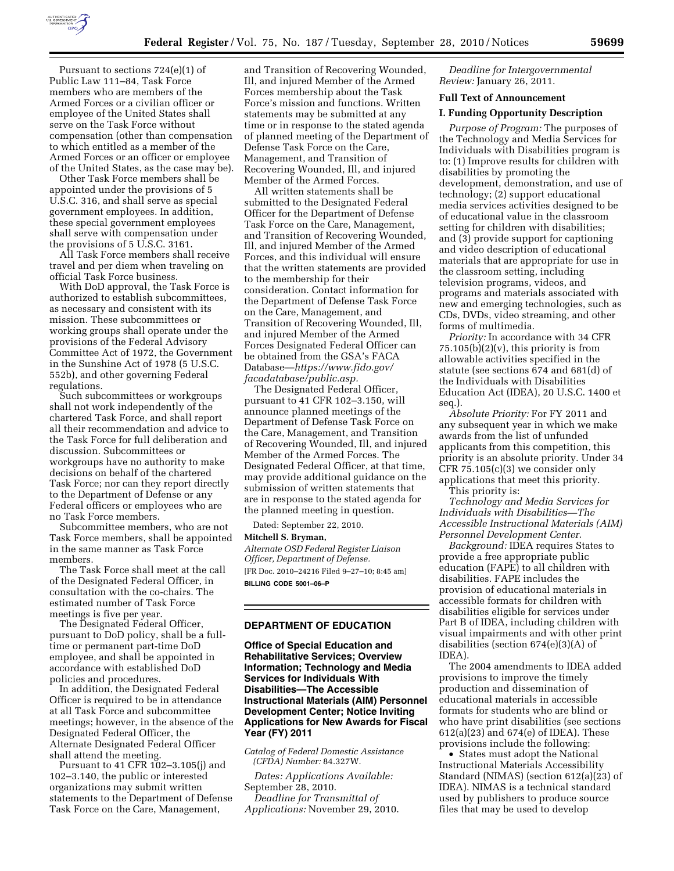

Pursuant to sections 724(e)(1) of Public Law 111–84, Task Force members who are members of the Armed Forces or a civilian officer or employee of the United States shall serve on the Task Force without compensation (other than compensation to which entitled as a member of the Armed Forces or an officer or employee of the United States, as the case may be).

Other Task Force members shall be appointed under the provisions of 5 U.S.C. 316, and shall serve as special government employees. In addition, these special government employees shall serve with compensation under the provisions of 5 U.S.C. 3161.

All Task Force members shall receive travel and per diem when traveling on official Task Force business.

With DoD approval, the Task Force is authorized to establish subcommittees, as necessary and consistent with its mission. These subcommittees or working groups shall operate under the provisions of the Federal Advisory Committee Act of 1972, the Government in the Sunshine Act of 1978 (5 U.S.C. 552b), and other governing Federal regulations.

Such subcommittees or workgroups shall not work independently of the chartered Task Force, and shall report all their recommendation and advice to the Task Force for full deliberation and discussion. Subcommittees or workgroups have no authority to make decisions on behalf of the chartered Task Force; nor can they report directly to the Department of Defense or any Federal officers or employees who are no Task Force members.

Subcommittee members, who are not Task Force members, shall be appointed in the same manner as Task Force members.

The Task Force shall meet at the call of the Designated Federal Officer, in consultation with the co-chairs. The estimated number of Task Force meetings is five per year.

The Designated Federal Officer, pursuant to DoD policy, shall be a fulltime or permanent part-time DoD employee, and shall be appointed in accordance with established DoD policies and procedures.

In addition, the Designated Federal Officer is required to be in attendance at all Task Force and subcommittee meetings; however, in the absence of the Designated Federal Officer, the Alternate Designated Federal Officer shall attend the meeting.

Pursuant to 41 CFR 102–3.105(j) and 102–3.140, the public or interested organizations may submit written statements to the Department of Defense Task Force on the Care, Management,

and Transition of Recovering Wounded, Ill, and injured Member of the Armed Forces membership about the Task Force's mission and functions. Written statements may be submitted at any time or in response to the stated agenda of planned meeting of the Department of Defense Task Force on the Care, Management, and Transition of Recovering Wounded, Ill, and injured Member of the Armed Forces.

All written statements shall be submitted to the Designated Federal Officer for the Department of Defense Task Force on the Care, Management, and Transition of Recovering Wounded, Ill, and injured Member of the Armed Forces, and this individual will ensure that the written statements are provided to the membership for their consideration. Contact information for the Department of Defense Task Force on the Care, Management, and Transition of Recovering Wounded, Ill, and injured Member of the Armed Forces Designated Federal Officer can be obtained from the GSA's FACA Database—*[https://www.fido.gov/](https://www.fido.gov/facadatabase/public.asp) [facadatabase/public.asp.](https://www.fido.gov/facadatabase/public.asp)* 

The Designated Federal Officer, pursuant to 41 CFR 102–3.150, will announce planned meetings of the Department of Defense Task Force on the Care, Management, and Transition of Recovering Wounded, Ill, and injured Member of the Armed Forces. The Designated Federal Officer, at that time, may provide additional guidance on the submission of written statements that are in response to the stated agenda for the planned meeting in question.

Dated: September 22, 2010.

**Mitchell S. Bryman,** 

*Alternate OSD Federal Register Liaison Officer, Department of Defense.*  [FR Doc. 2010–24216 Filed 9–27–10; 8:45 am] **BILLING CODE 5001–06–P** 

#### **DEPARTMENT OF EDUCATION**

**Office of Special Education and Rehabilitative Services; Overview Information; Technology and Media Services for Individuals With Disabilities—The Accessible Instructional Materials (AIM) Personnel Development Center; Notice Inviting Applications for New Awards for Fiscal Year (FY) 2011** 

*Catalog of Federal Domestic Assistance (CFDA) Number:* 84.327W.

*Dates: Applications Available:*  September 28, 2010. *Deadline for Transmittal of* 

*Applications:* November 29, 2010.

*Deadline for Intergovernmental Review:* January 26, 2011.

## **Full Text of Announcement**

# **I. Funding Opportunity Description**

*Purpose of Program:* The purposes of the Technology and Media Services for Individuals with Disabilities program is to: (1) Improve results for children with disabilities by promoting the development, demonstration, and use of technology; (2) support educational media services activities designed to be of educational value in the classroom setting for children with disabilities; and (3) provide support for captioning and video description of educational materials that are appropriate for use in the classroom setting, including television programs, videos, and programs and materials associated with new and emerging technologies, such as CDs, DVDs, video streaming, and other forms of multimedia.

*Priority:* In accordance with 34 CFR  $75.105(b)(2)(v)$ , this priority is from allowable activities specified in the statute (see sections 674 and 681(d) of the Individuals with Disabilities Education Act (IDEA), 20 U.S.C. 1400 et seq.).

*Absolute Priority:* For FY 2011 and any subsequent year in which we make awards from the list of unfunded applicants from this competition, this priority is an absolute priority. Under 34 CFR 75.105(c)(3) we consider only applications that meet this priority.

This priority is:

*Technology and Media Services for Individuals with Disabilities—The Accessible Instructional Materials (AIM) Personnel Development Center*.

*Background:* IDEA requires States to provide a free appropriate public education (FAPE) to all children with disabilities. FAPE includes the provision of educational materials in accessible formats for children with disabilities eligible for services under Part B of IDEA, including children with visual impairments and with other print disabilities (section 674(e)(3)(A) of IDEA).

The 2004 amendments to IDEA added provisions to improve the timely production and dissemination of educational materials in accessible formats for students who are blind or who have print disabilities (see sections 612(a)(23) and 674(e) of IDEA). These provisions include the following:

• States must adopt the National Instructional Materials Accessibility Standard (NIMAS) (section 612(a)(23) of IDEA). NIMAS is a technical standard used by publishers to produce source files that may be used to develop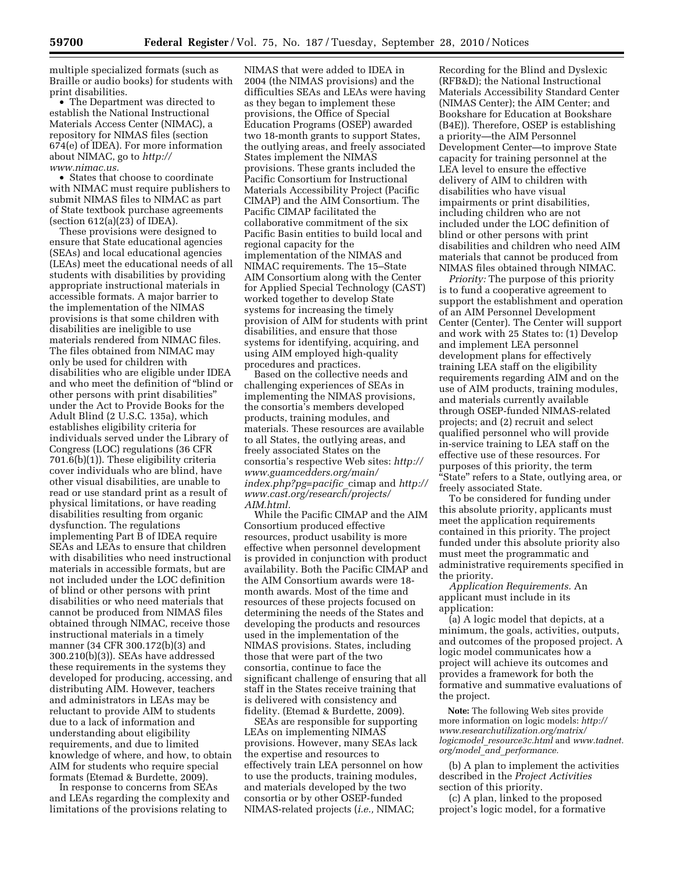multiple specialized formats (such as Braille or audio books) for students with print disabilities.

• The Department was directed to establish the National Instructional Materials Access Center (NIMAC), a repository for NIMAS files (section 674(e) of IDEA). For more information about NIMAC, go to *[http://](http://www.nimac.us)  [www.nimac.us.](http://www.nimac.us)* 

• States that choose to coordinate with NIMAC must require publishers to submit NIMAS files to NIMAC as part of State textbook purchase agreements (section  $612(a)(23)$  of IDEA).

These provisions were designed to ensure that State educational agencies (SEAs) and local educational agencies (LEAs) meet the educational needs of all students with disabilities by providing appropriate instructional materials in accessible formats. A major barrier to the implementation of the NIMAS provisions is that some children with disabilities are ineligible to use materials rendered from NIMAC files. The files obtained from NIMAC may only be used for children with disabilities who are eligible under IDEA and who meet the definition of ''blind or other persons with print disabilities'' under the Act to Provide Books for the Adult Blind (2 U.S.C. 135a), which establishes eligibility criteria for individuals served under the Library of Congress (LOC) regulations (36 CFR 701.6(b)(1)). These eligibility criteria cover individuals who are blind, have other visual disabilities, are unable to read or use standard print as a result of physical limitations, or have reading disabilities resulting from organic dysfunction. The regulations implementing Part B of IDEA require SEAs and LEAs to ensure that children with disabilities who need instructional materials in accessible formats, but are not included under the LOC definition of blind or other persons with print disabilities or who need materials that cannot be produced from NIMAS files obtained through NIMAC, receive those instructional materials in a timely manner (34 CFR 300.172(b)(3) and 300.210(b)(3)). SEAs have addressed these requirements in the systems they developed for producing, accessing, and distributing AIM. However, teachers and administrators in LEAs may be reluctant to provide AIM to students due to a lack of information and understanding about eligibility requirements, and due to limited knowledge of where, and how, to obtain AIM for students who require special formats (Etemad & Burdette, 2009).

In response to concerns from SEAs and LEAs regarding the complexity and limitations of the provisions relating to

NIMAS that were added to IDEA in 2004 (the NIMAS provisions) and the difficulties SEAs and LEAs were having as they began to implement these provisions, the Office of Special Education Programs (OSEP) awarded two 18-month grants to support States, the outlying areas, and freely associated States implement the NIMAS provisions. These grants included the Pacific Consortium for Instructional Materials Accessibility Project (Pacific CIMAP) and the AIM Consortium. The Pacific CIMAP facilitated the collaborative commitment of the six Pacific Basin entities to build local and regional capacity for the implementation of the NIMAS and NIMAC requirements. The 15–State AIM Consortium along with the Center for Applied Special Technology (CAST) worked together to develop State systems for increasing the timely provision of AIM for students with print disabilities, and ensure that those systems for identifying, acquiring, and using AIM employed high-quality procedures and practices.

Based on the collective needs and challenging experiences of SEAs in implementing the NIMAS provisions, the consortia's members developed products, training modules, and materials. These resources are available to all States, the outlying areas, and freely associated States on the consortia's respective Web sites: *http:// www.guamcedders.org/main/ index.php?pg=pacific*\_cimap and *[http://](http://www.cast.org/research/projects/AIM.html)  [www.cast.org/research/projects/](http://www.cast.org/research/projects/AIM.html) [AIM.html.](http://www.cast.org/research/projects/AIM.html)* 

While the Pacific CIMAP and the AIM Consortium produced effective resources, product usability is more effective when personnel development is provided in conjunction with product availability. Both the Pacific CIMAP and the AIM Consortium awards were 18 month awards. Most of the time and resources of these projects focused on determining the needs of the States and developing the products and resources used in the implementation of the NIMAS provisions. States, including those that were part of the two consortia, continue to face the significant challenge of ensuring that all staff in the States receive training that is delivered with consistency and fidelity. (Etemad & Burdette, 2009).

SEAs are responsible for supporting LEAs on implementing NIMAS provisions. However, many SEAs lack the expertise and resources to effectively train LEA personnel on how to use the products, training modules, and materials developed by the two consortia or by other OSEP-funded NIMAS-related projects (*i.e.,* NIMAC;

Recording for the Blind and Dyslexic (RFB&D); the National Instructional Materials Accessibility Standard Center (NIMAS Center); the AIM Center; and Bookshare for Education at Bookshare (B4E)). Therefore, OSEP is establishing a priority—the AIM Personnel Development Center—to improve State capacity for training personnel at the LEA level to ensure the effective delivery of AIM to children with disabilities who have visual impairments or print disabilities, including children who are not included under the LOC definition of blind or other persons with print disabilities and children who need AIM materials that cannot be produced from NIMAS files obtained through NIMAC.

*Priority:* The purpose of this priority is to fund a cooperative agreement to support the establishment and operation of an AIM Personnel Development Center (Center). The Center will support and work with 25 States to: (1) Develop and implement LEA personnel development plans for effectively training LEA staff on the eligibility requirements regarding AIM and on the use of AIM products, training modules, and materials currently available through OSEP-funded NIMAS-related projects; and (2) recruit and select qualified personnel who will provide in-service training to LEA staff on the effective use of these resources. For purposes of this priority, the term ''State'' refers to a State, outlying area, or freely associated State.

To be considered for funding under this absolute priority, applicants must meet the application requirements contained in this priority. The project funded under this absolute priority also must meet the programmatic and administrative requirements specified in the priority.

*Application Requirements.* An applicant must include in its application:

(a) A logic model that depicts, at a minimum, the goals, activities, outputs, and outcomes of the proposed project. A logic model communicates how a project will achieve its outcomes and provides a framework for both the formative and summative evaluations of the project.

**Note:** The following Web sites provide more information on logic models: *[http://](http://www.researchutilization.org/matrix/logicmodel_resource3c.html)  [www.researchutilization.org/matrix/](http://www.researchutilization.org/matrix/logicmodel_resource3c.html) logicmodel*\_*[resource3c.html](http://www.researchutilization.org/matrix/logicmodel_resource3c.html)* and *[www.tadnet.](http://www.tadnet.org/model_and_performance) org/model*\_*and*\_*[performance.](http://www.tadnet.org/model_and_performance)* 

(b) A plan to implement the activities described in the *Project Activities*  section of this priority.

(c) A plan, linked to the proposed project's logic model, for a formative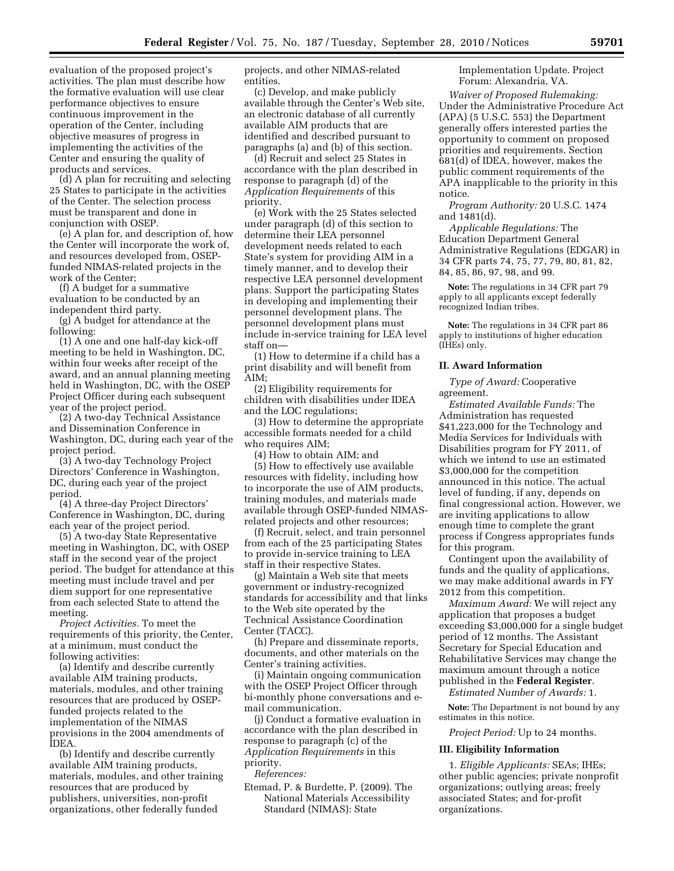evaluation of the proposed project's activities. The plan must describe how the formative evaluation will use clear performance objectives to ensure continuous improvement in the operation of the Center, including objective measures of progress in implementing the activities of the Center and ensuring the quality of products and services.

(d) A plan for recruiting and selecting 25 States to participate in the activities of the Center. The selection process must be transparent and done in conjunction with OSEP.

(e) A plan for, and description of, how the Center will incorporate the work of, and resources developed from, OSEPfunded NIMAS-related projects in the work of the Center;

(f) A budget for a summative evaluation to be conducted by an independent third party.

(g) A budget for attendance at the following:

(1) A one and one half-day kick-off meeting to be held in Washington, DC, within four weeks after receipt of the award, and an annual planning meeting held in Washington, DC, with the OSEP Project Officer during each subsequent year of the project period.

(2) A two-day Technical Assistance and Dissemination Conference in Washington, DC, during each year of the project period.

(3) A two-day Technology Project Directors' Conference in Washington, DC, during each year of the project period.

(4) A three-day Project Directors' Conference in Washington, DC, during each year of the project period.

(5) A two-day State Representative meeting in Washington, DC, with OSEP staff in the second year of the project period. The budget for attendance at this meeting must include travel and per diem support for one representative from each selected State to attend the meeting.

*Project Activities.* To meet the requirements of this priority, the Center, at a minimum, must conduct the following activities:

(a) Identify and describe currently available AIM training products, materials, modules, and other training resources that are produced by OSEPfunded projects related to the implementation of the NIMAS provisions in the 2004 amendments of IDEA.

(b) Identify and describe currently available AIM training products, materials, modules, and other training resources that are produced by publishers, universities, non-profit organizations, other federally funded

projects, and other NIMAS-related entities.

(c) Develop, and make publicly available through the Center's Web site, an electronic database of all currently available AIM products that are identified and described pursuant to paragraphs (a) and (b) of this section.

(d) Recruit and select 25 States in accordance with the plan described in response to paragraph (d) of the *Application Requirements* of this priority.

(e) Work with the 25 States selected under paragraph (d) of this section to determine their LEA personnel development needs related to each State's system for providing AIM in a timely manner, and to develop their respective LEA personnel development plans. Support the participating States in developing and implementing their personnel development plans. The personnel development plans must include in-service training for LEA level staff on—

(1) How to determine if a child has a print disability and will benefit from AIM;

(2) Eligibility requirements for children with disabilities under IDEA and the LOC regulations;

(3) How to determine the appropriate accessible formats needed for a child who requires AIM;

(4) How to obtain AIM; and (5) How to effectively use available resources with fidelity, including how to incorporate the use of AIM products, training modules, and materials made available through OSEP-funded NIMAS-

related projects and other resources; (f) Recruit, select, and train personnel from each of the 25 participating States to provide in-service training to LEA staff in their respective States.

(g) Maintain a Web site that meets government or industry-recognized standards for accessibility and that links to the Web site operated by the Technical Assistance Coordination Center (TACC).

(h) Prepare and disseminate reports, documents, and other materials on the Center's training activities.

(i) Maintain ongoing communication with the OSEP Project Officer through bi-monthly phone conversations and email communication.

(j) Conduct a formative evaluation in accordance with the plan described in response to paragraph (c) of the *Application Requirements* in this priority.

*References:* 

Etemad, P. & Burdette, P. (2009). The National Materials Accessibility Standard (NIMAS): State

Implementation Update. Project Forum: Alexandria, VA.

*Waiver of Proposed Rulemaking:*  Under the Administrative Procedure Act (APA) (5 U.S.C. 553) the Department generally offers interested parties the opportunity to comment on proposed priorities and requirements. Section 681(d) of IDEA, however, makes the public comment requirements of the APA inapplicable to the priority in this notice.

*Program Authority:* 20 U.S.C. 1474 and 1481(d).

*Applicable Regulations:* The Education Department General Administrative Regulations (EDGAR) in 34 CFR parts 74, 75, 77, 79, 80, 81, 82, 84, 85, 86, 97, 98, and 99.

**Note:** The regulations in 34 CFR part 79 apply to all applicants except federally recognized Indian tribes.

**Note:** The regulations in 34 CFR part 86 apply to institutions of higher education (IHEs) only.

## **II. Award Information**

*Type of Award:* Cooperative agreement.

*Estimated Available Funds:* The Administration has requested \$41,223,000 for the Technology and Media Services for Individuals with Disabilities program for FY 2011, of which we intend to use an estimated \$3,000,000 for the competition announced in this notice. The actual level of funding, if any, depends on final congressional action. However, we are inviting applications to allow enough time to complete the grant process if Congress appropriates funds for this program.

Contingent upon the availability of funds and the quality of applications, we may make additional awards in FY 2012 from this competition.

*Maximum Award:* We will reject any application that proposes a budget exceeding \$3,000,000 for a single budget period of 12 months. The Assistant Secretary for Special Education and Rehabilitative Services may change the maximum amount through a notice published in the **Federal Register**.

*Estimated Number of Awards:* 1.

**Note:** The Department is not bound by any estimates in this notice.

*Project Period:* Up to 24 months.

### **III. Eligibility Information**

1. *Eligible Applicants:* SEAs; IHEs; other public agencies; private nonprofit organizations; outlying areas; freely associated States; and for-profit organizations.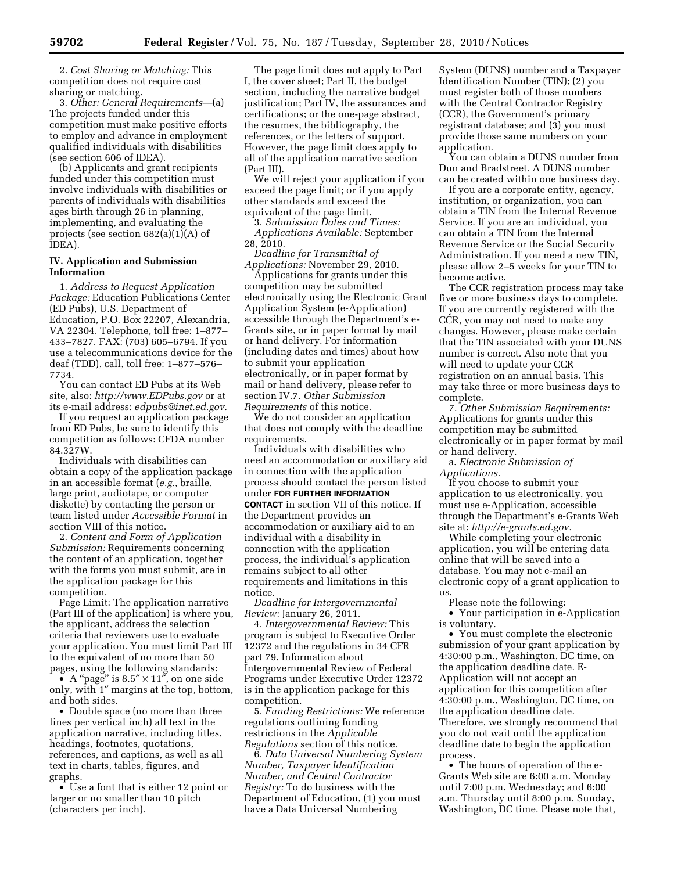2. *Cost Sharing or Matching:* This competition does not require cost sharing or matching.

3. *Other: General Requirements*—(a) The projects funded under this competition must make positive efforts to employ and advance in employment qualified individuals with disabilities (see section 606 of IDEA).

(b) Applicants and grant recipients funded under this competition must involve individuals with disabilities or parents of individuals with disabilities ages birth through 26 in planning, implementing, and evaluating the projects (see section 682(a)(1)(A) of IDEA).

## **IV. Application and Submission Information**

1. *Address to Request Application Package:* Education Publications Center (ED Pubs), U.S. Department of Education, P.O. Box 22207, Alexandria, VA 22304. Telephone, toll free: 1–877– 433–7827. FAX: (703) 605–6794. If you use a telecommunications device for the deaf (TDD), call, toll free: 1–877–576– 7734.

You can contact ED Pubs at its Web site, also: *<http://www.EDPubs.gov>* or at its e-mail address: *[edpubs@inet.ed.gov.](mailto:edpubs@inet.ed.gov)* 

If you request an application package from ED Pubs, be sure to identify this competition as follows: CFDA number 84.327W.

Individuals with disabilities can obtain a copy of the application package in an accessible format (*e.g.,* braille, large print, audiotape, or computer diskette) by contacting the person or team listed under *Accessible Format* in section VIII of this notice.

2. *Content and Form of Application Submission:* Requirements concerning the content of an application, together with the forms you must submit, are in the application package for this competition.

Page Limit: The application narrative (Part III of the application) is where you, the applicant, address the selection criteria that reviewers use to evaluate your application. You must limit Part III to the equivalent of no more than 50 pages, using the following standards:

• A "page" is  $8.5'' \times 11''$ , on one side only, with 1″ margins at the top, bottom, and both sides.

• Double space (no more than three lines per vertical inch) all text in the application narrative, including titles, headings, footnotes, quotations, references, and captions, as well as all text in charts, tables, figures, and graphs.

• Use a font that is either 12 point or larger or no smaller than 10 pitch (characters per inch).

The page limit does not apply to Part I, the cover sheet; Part II, the budget section, including the narrative budget justification; Part IV, the assurances and certifications; or the one-page abstract, the resumes, the bibliography, the references, or the letters of support. However, the page limit does apply to all of the application narrative section (Part III).

We will reject your application if you exceed the page limit; or if you apply other standards and exceed the equivalent of the page limit.

3. *Submission Dates and Times: Applications Available:* September 28, 2010.

*Deadline for Transmittal of Applications:* November 29, 2010.

Applications for grants under this competition may be submitted electronically using the Electronic Grant Application System (e-Application) accessible through the Department's e-Grants site, or in paper format by mail or hand delivery. For information (including dates and times) about how to submit your application electronically, or in paper format by mail or hand delivery, please refer to section IV.7. *Other Submission Requirements* of this notice.

We do not consider an application that does not comply with the deadline requirements.

Individuals with disabilities who need an accommodation or auxiliary aid in connection with the application process should contact the person listed under **FOR FURTHER INFORMATION CONTACT** in section VII of this notice. If the Department provides an accommodation or auxiliary aid to an individual with a disability in connection with the application process, the individual's application remains subject to all other requirements and limitations in this notice.

*Deadline for Intergovernmental Review:* January 26, 2011.

4. *Intergovernmental Review:* This program is subject to Executive Order 12372 and the regulations in 34 CFR part 79. Information about Intergovernmental Review of Federal Programs under Executive Order 12372 is in the application package for this competition.

5. *Funding Restrictions:* We reference regulations outlining funding restrictions in the *Applicable Regulations* section of this notice.

6. *Data Universal Numbering System Number, Taxpayer Identification Number, and Central Contractor Registry:* To do business with the Department of Education, (1) you must have a Data Universal Numbering

System (DUNS) number and a Taxpayer Identification Number (TIN); (2) you must register both of those numbers with the Central Contractor Registry (CCR), the Government's primary registrant database; and (3) you must provide those same numbers on your application.

You can obtain a DUNS number from Dun and Bradstreet. A DUNS number can be created within one business day.

If you are a corporate entity, agency, institution, or organization, you can obtain a TIN from the Internal Revenue Service. If you are an individual, you can obtain a TIN from the Internal Revenue Service or the Social Security Administration. If you need a new TIN, please allow 2–5 weeks for your TIN to become active.

The CCR registration process may take five or more business days to complete. If you are currently registered with the CCR, you may not need to make any changes. However, please make certain that the TIN associated with your DUNS number is correct. Also note that you will need to update your CCR registration on an annual basis. This may take three or more business days to complete.

7. *Other Submission Requirements:*  Applications for grants under this competition may be submitted electronically or in paper format by mail or hand delivery.

a. *Electronic Submission of Applications.* 

If you choose to submit your application to us electronically, you must use e-Application, accessible through the Department's e-Grants Web site at: *[http://e-grants.ed.gov.](http://e-grants.ed.gov)* 

While completing your electronic application, you will be entering data online that will be saved into a database. You may not e-mail an electronic copy of a grant application to us.

Please note the following:

• Your participation in e-Application is voluntary.

• You must complete the electronic submission of your grant application by 4:30:00 p.m., Washington, DC time, on the application deadline date. E-Application will not accept an application for this competition after 4:30:00 p.m., Washington, DC time, on the application deadline date. Therefore, we strongly recommend that you do not wait until the application deadline date to begin the application process.

• The hours of operation of the e-Grants Web site are 6:00 a.m. Monday until 7:00 p.m. Wednesday; and 6:00 a.m. Thursday until 8:00 p.m. Sunday, Washington, DC time. Please note that,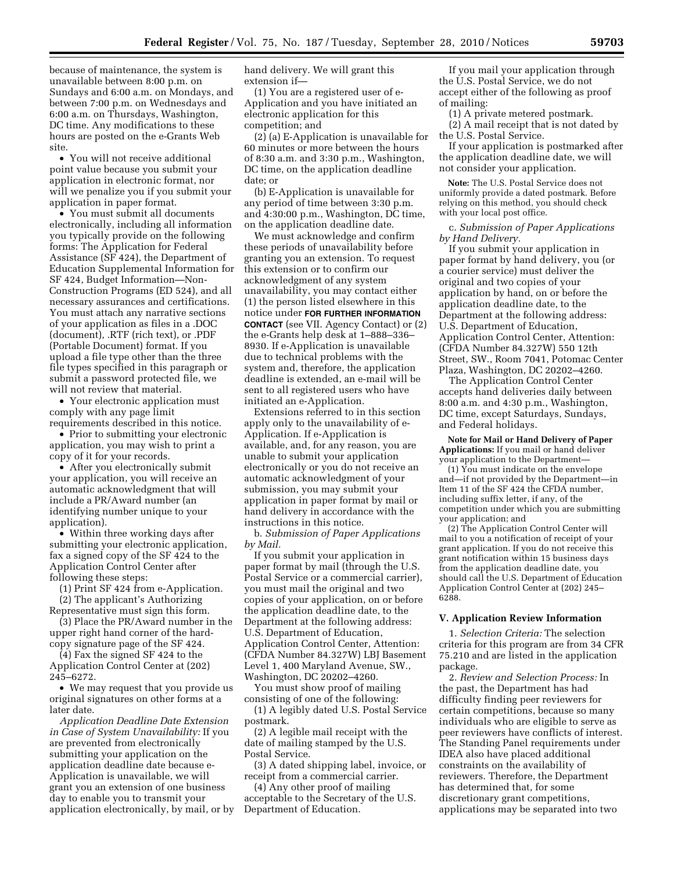because of maintenance, the system is unavailable between 8:00 p.m. on Sundays and 6:00 a.m. on Mondays, and between 7:00 p.m. on Wednesdays and 6:00 a.m. on Thursdays, Washington, DC time. Any modifications to these hours are posted on the e-Grants Web site.

• You will not receive additional point value because you submit your application in electronic format, nor will we penalize you if you submit your application in paper format.

• You must submit all documents electronically, including all information you typically provide on the following forms: The Application for Federal Assistance (SF 424), the Department of Education Supplemental Information for SF 424, Budget Information—Non-Construction Programs (ED 524), and all necessary assurances and certifications. You must attach any narrative sections of your application as files in a .DOC (document), .RTF (rich text), or .PDF (Portable Document) format. If you upload a file type other than the three file types specified in this paragraph or submit a password protected file, we will not review that material.

• Your electronic application must comply with any page limit

requirements described in this notice. • Prior to submitting your electronic application, you may wish to print a copy of it for your records.

• After you electronically submit your application, you will receive an automatic acknowledgment that will include a PR/Award number (an identifying number unique to your application).

• Within three working days after submitting your electronic application, fax a signed copy of the SF 424 to the Application Control Center after following these steps:

(1) Print SF 424 from e-Application. (2) The applicant's Authorizing

Representative must sign this form.

(3) Place the PR/Award number in the upper right hand corner of the hardcopy signature page of the SF 424.

(4) Fax the signed SF 424 to the Application Control Center at (202) 245–6272.

• We may request that you provide us original signatures on other forms at a later date.

*Application Deadline Date Extension in Case of System Unavailability:* If you are prevented from electronically submitting your application on the application deadline date because e-Application is unavailable, we will grant you an extension of one business day to enable you to transmit your application electronically, by mail, or by hand delivery. We will grant this extension if—

(1) You are a registered user of e-Application and you have initiated an electronic application for this competition; and

(2) (a) E-Application is unavailable for 60 minutes or more between the hours of 8:30 a.m. and 3:30 p.m., Washington, DC time, on the application deadline date; or

(b) E-Application is unavailable for any period of time between 3:30 p.m. and 4:30:00 p.m., Washington, DC time, on the application deadline date.

We must acknowledge and confirm these periods of unavailability before granting you an extension. To request this extension or to confirm our acknowledgment of any system unavailability, you may contact either (1) the person listed elsewhere in this notice under **FOR FURTHER INFORMATION CONTACT** (see VII. Agency Contact) or (2) the e-Grants help desk at 1–888–336– 8930. If e-Application is unavailable due to technical problems with the system and, therefore, the application deadline is extended, an e-mail will be sent to all registered users who have initiated an e-Application.

Extensions referred to in this section apply only to the unavailability of e-Application. If e-Application is available, and, for any reason, you are unable to submit your application electronically or you do not receive an automatic acknowledgment of your submission, you may submit your application in paper format by mail or hand delivery in accordance with the instructions in this notice.

b. *Submission of Paper Applications by Mail.* 

If you submit your application in paper format by mail (through the U.S. Postal Service or a commercial carrier), you must mail the original and two copies of your application, on or before the application deadline date, to the Department at the following address: U.S. Department of Education, Application Control Center, Attention: (CFDA Number 84.327W) LBJ Basement Level 1, 400 Maryland Avenue, SW., Washington, DC 20202–4260.

You must show proof of mailing consisting of one of the following: (1) A legibly dated U.S. Postal Service postmark.

(2) A legible mail receipt with the date of mailing stamped by the U.S. Postal Service.

(3) A dated shipping label, invoice, or receipt from a commercial carrier.

(4) Any other proof of mailing acceptable to the Secretary of the U.S. Department of Education.

If you mail your application through the U.S. Postal Service, we do not accept either of the following as proof of mailing:

(1) A private metered postmark.

(2) A mail receipt that is not dated by the U.S. Postal Service.

If your application is postmarked after the application deadline date, we will not consider your application.

**Note:** The U.S. Postal Service does not uniformly provide a dated postmark. Before relying on this method, you should check with your local post office.

c. *Submission of Paper Applications by Hand Delivery.* 

If you submit your application in paper format by hand delivery, you (or a courier service) must deliver the original and two copies of your application by hand, on or before the application deadline date, to the Department at the following address: U.S. Department of Education, Application Control Center, Attention: (CFDA Number 84.327W) 550 12th Street, SW., Room 7041, Potomac Center Plaza, Washington, DC 20202–4260.

The Application Control Center accepts hand deliveries daily between 8:00 a.m. and 4:30 p.m., Washington, DC time, except Saturdays, Sundays, and Federal holidays.

**Note for Mail or Hand Delivery of Paper Applications:** If you mail or hand deliver your application to the Department—

(1) You must indicate on the envelope and—if not provided by the Department—in Item 11 of the SF 424 the CFDA number, including suffix letter, if any, of the competition under which you are submitting your application; and

(2) The Application Control Center will mail to you a notification of receipt of your grant application. If you do not receive this grant notification within 15 business days from the application deadline date, you should call the U.S. Department of Education Application Control Center at (202) 245– 6288.

### **V. Application Review Information**

1. *Selection Criteria:* The selection criteria for this program are from 34 CFR 75.210 and are listed in the application package.

2. *Review and Selection Process:* In the past, the Department has had difficulty finding peer reviewers for certain competitions, because so many individuals who are eligible to serve as peer reviewers have conflicts of interest. The Standing Panel requirements under IDEA also have placed additional constraints on the availability of reviewers. Therefore, the Department has determined that, for some discretionary grant competitions, applications may be separated into two